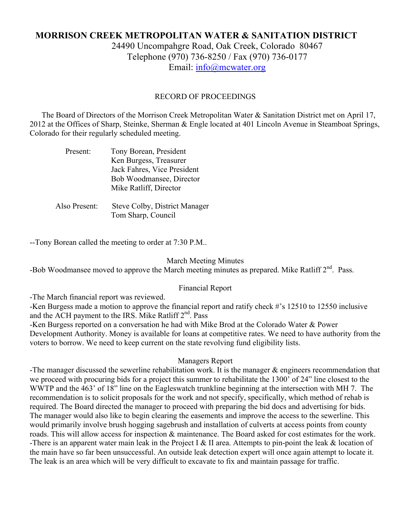# **MORRISON CREEK METROPOLITAN WATER & SANITATION DISTRICT**

24490 Uncompahgre Road, Oak Creek, Colorado 80467 Telephone (970) 736-8250 / Fax (970) 736-0177 Email: info@mcwater.org

### RECORD OF PROCEEDINGS

 The Board of Directors of the Morrison Creek Metropolitan Water & Sanitation District met on April 17, 2012 at the Offices of Sharp, Steinke, Sherman & Engle located at 401 Lincoln Avenue in Steamboat Springs, Colorado for their regularly scheduled meeting.

| Present:      | Tony Borean, President        |
|---------------|-------------------------------|
|               | Ken Burgess, Treasurer        |
|               | Jack Fahres, Vice President   |
|               | Bob Woodmansee, Director      |
|               | Mike Ratliff, Director        |
|               |                               |
| Also Present: | Steve Colby, District Manager |
|               | Tom Sharp, Council            |

--Tony Borean called the meeting to order at 7:30 P.M..

#### March Meeting Minutes

-Bob Woodmansee moved to approve the March meeting minutes as prepared. Mike Ratliff 2<sup>nd</sup>. Pass.

#### Financial Report

-The March financial report was reviewed.

-Ken Burgess made a motion to approve the financial report and ratify check #'s 12510 to 12550 inclusive and the ACH payment to the IRS. Mike Ratliff 2<sup>nd</sup>. Pass

-Ken Burgess reported on a conversation he had with Mike Brod at the Colorado Water & Power Development Authority. Money is available for loans at competitive rates. We need to have authority from the voters to borrow. We need to keep current on the state revolving fund eligibility lists.

#### Managers Report

-The manager discussed the sewerline rehabilitation work. It is the manager & engineers recommendation that we proceed with procuring bids for a project this summer to rehabilitate the 1300' of 24" line closest to the WWTP and the 463' of 18" line on the Eagleswatch trunkline beginning at the intersection with MH 7. The recommendation is to solicit proposals for the work and not specify, specifically, which method of rehab is required. The Board directed the manager to proceed with preparing the bid docs and advertising for bids. The manager would also like to begin clearing the easements and improve the access to the sewerline. This would primarily involve brush hogging sagebrush and installation of culverts at access points from county roads. This will allow access for inspection & maintenance. The Board asked for cost estimates for the work. -There is an apparent water main leak in the Project I & II area. Attempts to pin-point the leak & location of the main have so far been unsuccessful. An outside leak detection expert will once again attempt to locate it. The leak is an area which will be very difficult to excavate to fix and maintain passage for traffic.